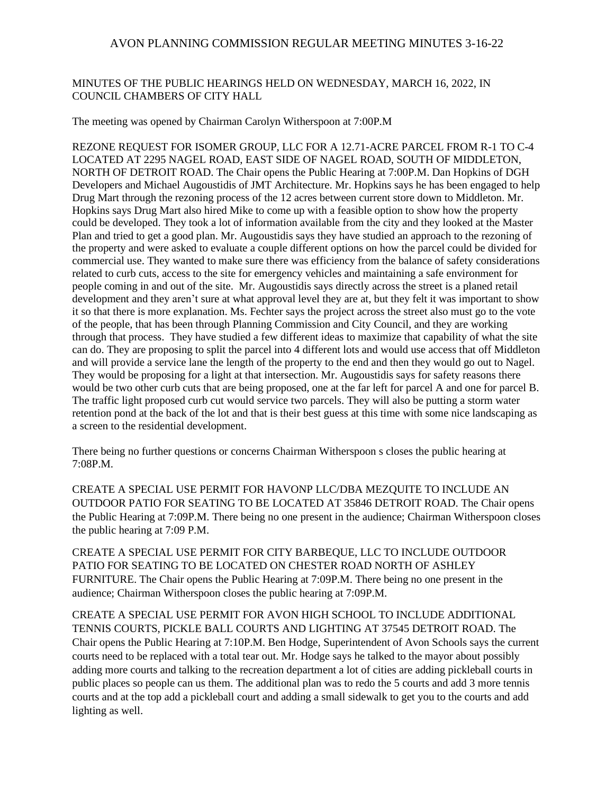## MINUTES OF THE PUBLIC HEARINGS HELD ON WEDNESDAY, MARCH 16, 2022, IN COUNCIL CHAMBERS OF CITY HALL

The meeting was opened by Chairman Carolyn Witherspoon at 7:00P.M

REZONE REQUEST FOR ISOMER GROUP, LLC FOR A 12.71-ACRE PARCEL FROM R-1 TO C-4 LOCATED AT 2295 NAGEL ROAD, EAST SIDE OF NAGEL ROAD, SOUTH OF MIDDLETON, NORTH OF DETROIT ROAD. The Chair opens the Public Hearing at 7:00P.M. Dan Hopkins of DGH Developers and Michael Augoustidis of JMT Architecture. Mr. Hopkins says he has been engaged to help Drug Mart through the rezoning process of the 12 acres between current store down to Middleton. Mr. Hopkins says Drug Mart also hired Mike to come up with a feasible option to show how the property could be developed. They took a lot of information available from the city and they looked at the Master Plan and tried to get a good plan. Mr. Augoustidis says they have studied an approach to the rezoning of the property and were asked to evaluate a couple different options on how the parcel could be divided for commercial use. They wanted to make sure there was efficiency from the balance of safety considerations related to curb cuts, access to the site for emergency vehicles and maintaining a safe environment for people coming in and out of the site. Mr. Augoustidis says directly across the street is a planed retail development and they aren't sure at what approval level they are at, but they felt it was important to show it so that there is more explanation. Ms. Fechter says the project across the street also must go to the vote of the people, that has been through Planning Commission and City Council, and they are working through that process. They have studied a few different ideas to maximize that capability of what the site can do. They are proposing to split the parcel into 4 different lots and would use access that off Middleton and will provide a service lane the length of the property to the end and then they would go out to Nagel. They would be proposing for a light at that intersection. Mr. Augoustidis says for safety reasons there would be two other curb cuts that are being proposed, one at the far left for parcel A and one for parcel B. The traffic light proposed curb cut would service two parcels. They will also be putting a storm water retention pond at the back of the lot and that is their best guess at this time with some nice landscaping as a screen to the residential development.

There being no further questions or concerns Chairman Witherspoon s closes the public hearing at 7:08P.M.

CREATE A SPECIAL USE PERMIT FOR HAVONP LLC/DBA MEZQUITE TO INCLUDE AN OUTDOOR PATIO FOR SEATING TO BE LOCATED AT 35846 DETROIT ROAD. The Chair opens the Public Hearing at 7:09P.M. There being no one present in the audience; Chairman Witherspoon closes the public hearing at 7:09 P.M.

CREATE A SPECIAL USE PERMIT FOR CITY BARBEQUE, LLC TO INCLUDE OUTDOOR PATIO FOR SEATING TO BE LOCATED ON CHESTER ROAD NORTH OF ASHLEY FURNITURE. The Chair opens the Public Hearing at 7:09P.M. There being no one present in the audience; Chairman Witherspoon closes the public hearing at 7:09P.M.

CREATE A SPECIAL USE PERMIT FOR AVON HIGH SCHOOL TO INCLUDE ADDITIONAL TENNIS COURTS, PICKLE BALL COURTS AND LIGHTING AT 37545 DETROIT ROAD. The Chair opens the Public Hearing at 7:10P.M. Ben Hodge, Superintendent of Avon Schools says the current courts need to be replaced with a total tear out. Mr. Hodge says he talked to the mayor about possibly adding more courts and talking to the recreation department a lot of cities are adding pickleball courts in public places so people can us them. The additional plan was to redo the 5 courts and add 3 more tennis courts and at the top add a pickleball court and adding a small sidewalk to get you to the courts and add lighting as well.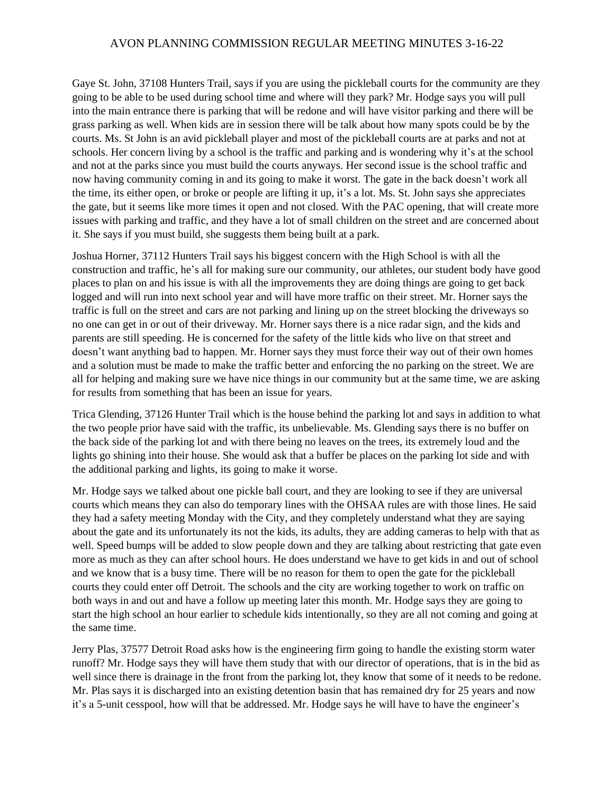Gaye St. John, 37108 Hunters Trail, says if you are using the pickleball courts for the community are they going to be able to be used during school time and where will they park? Mr. Hodge says you will pull into the main entrance there is parking that will be redone and will have visitor parking and there will be grass parking as well. When kids are in session there will be talk about how many spots could be by the courts. Ms. St John is an avid pickleball player and most of the pickleball courts are at parks and not at schools. Her concern living by a school is the traffic and parking and is wondering why it's at the school and not at the parks since you must build the courts anyways. Her second issue is the school traffic and now having community coming in and its going to make it worst. The gate in the back doesn't work all the time, its either open, or broke or people are lifting it up, it's a lot. Ms. St. John says she appreciates the gate, but it seems like more times it open and not closed. With the PAC opening, that will create more issues with parking and traffic, and they have a lot of small children on the street and are concerned about it. She says if you must build, she suggests them being built at a park.

Joshua Horner, 37112 Hunters Trail says his biggest concern with the High School is with all the construction and traffic, he's all for making sure our community, our athletes, our student body have good places to plan on and his issue is with all the improvements they are doing things are going to get back logged and will run into next school year and will have more traffic on their street. Mr. Horner says the traffic is full on the street and cars are not parking and lining up on the street blocking the driveways so no one can get in or out of their driveway. Mr. Horner says there is a nice radar sign, and the kids and parents are still speeding. He is concerned for the safety of the little kids who live on that street and doesn't want anything bad to happen. Mr. Horner says they must force their way out of their own homes and a solution must be made to make the traffic better and enforcing the no parking on the street. We are all for helping and making sure we have nice things in our community but at the same time, we are asking for results from something that has been an issue for years.

Trica Glending, 37126 Hunter Trail which is the house behind the parking lot and says in addition to what the two people prior have said with the traffic, its unbelievable. Ms. Glending says there is no buffer on the back side of the parking lot and with there being no leaves on the trees, its extremely loud and the lights go shining into their house. She would ask that a buffer be places on the parking lot side and with the additional parking and lights, its going to make it worse.

Mr. Hodge says we talked about one pickle ball court, and they are looking to see if they are universal courts which means they can also do temporary lines with the OHSAA rules are with those lines. He said they had a safety meeting Monday with the City, and they completely understand what they are saying about the gate and its unfortunately its not the kids, its adults, they are adding cameras to help with that as well. Speed bumps will be added to slow people down and they are talking about restricting that gate even more as much as they can after school hours. He does understand we have to get kids in and out of school and we know that is a busy time. There will be no reason for them to open the gate for the pickleball courts they could enter off Detroit. The schools and the city are working together to work on traffic on both ways in and out and have a follow up meeting later this month. Mr. Hodge says they are going to start the high school an hour earlier to schedule kids intentionally, so they are all not coming and going at the same time.

Jerry Plas, 37577 Detroit Road asks how is the engineering firm going to handle the existing storm water runoff? Mr. Hodge says they will have them study that with our director of operations, that is in the bid as well since there is drainage in the front from the parking lot, they know that some of it needs to be redone. Mr. Plas says it is discharged into an existing detention basin that has remained dry for 25 years and now it's a 5-unit cesspool, how will that be addressed. Mr. Hodge says he will have to have the engineer's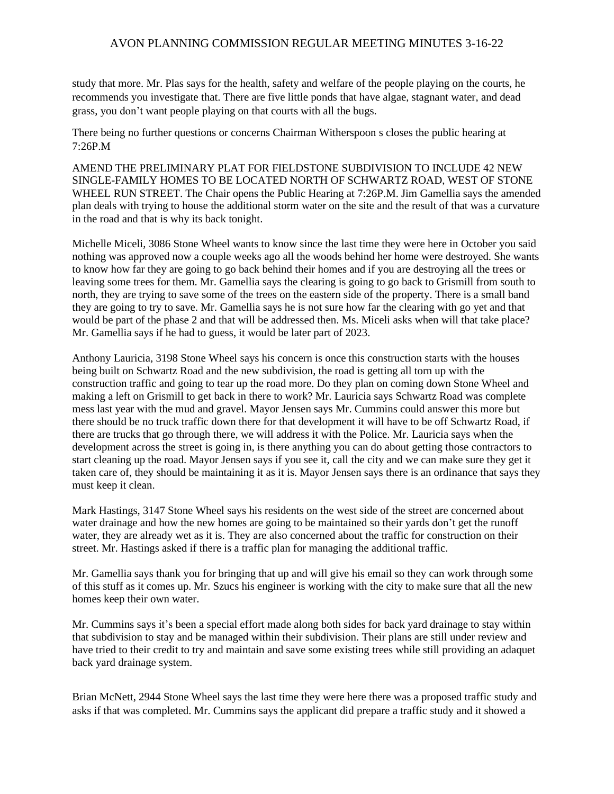study that more. Mr. Plas says for the health, safety and welfare of the people playing on the courts, he recommends you investigate that. There are five little ponds that have algae, stagnant water, and dead grass, you don't want people playing on that courts with all the bugs.

There being no further questions or concerns Chairman Witherspoon s closes the public hearing at  $7.26P$  M

AMEND THE PRELIMINARY PLAT FOR FIELDSTONE SUBDIVISION TO INCLUDE 42 NEW SINGLE-FAMILY HOMES TO BE LOCATED NORTH OF SCHWARTZ ROAD, WEST OF STONE WHEEL RUN STREET. The Chair opens the Public Hearing at 7:26P.M. Jim Gamellia says the amended plan deals with trying to house the additional storm water on the site and the result of that was a curvature in the road and that is why its back tonight.

Michelle Miceli, 3086 Stone Wheel wants to know since the last time they were here in October you said nothing was approved now a couple weeks ago all the woods behind her home were destroyed. She wants to know how far they are going to go back behind their homes and if you are destroying all the trees or leaving some trees for them. Mr. Gamellia says the clearing is going to go back to Grismill from south to north, they are trying to save some of the trees on the eastern side of the property. There is a small band they are going to try to save. Mr. Gamellia says he is not sure how far the clearing with go yet and that would be part of the phase 2 and that will be addressed then. Ms. Miceli asks when will that take place? Mr. Gamellia says if he had to guess, it would be later part of 2023.

Anthony Lauricia, 3198 Stone Wheel says his concern is once this construction starts with the houses being built on Schwartz Road and the new subdivision, the road is getting all torn up with the construction traffic and going to tear up the road more. Do they plan on coming down Stone Wheel and making a left on Grismill to get back in there to work? Mr. Lauricia says Schwartz Road was complete mess last year with the mud and gravel. Mayor Jensen says Mr. Cummins could answer this more but there should be no truck traffic down there for that development it will have to be off Schwartz Road, if there are trucks that go through there, we will address it with the Police. Mr. Lauricia says when the development across the street is going in, is there anything you can do about getting those contractors to start cleaning up the road. Mayor Jensen says if you see it, call the city and we can make sure they get it taken care of, they should be maintaining it as it is. Mayor Jensen says there is an ordinance that says they must keep it clean.

Mark Hastings, 3147 Stone Wheel says his residents on the west side of the street are concerned about water drainage and how the new homes are going to be maintained so their yards don't get the runoff water, they are already wet as it is. They are also concerned about the traffic for construction on their street. Mr. Hastings asked if there is a traffic plan for managing the additional traffic.

Mr. Gamellia says thank you for bringing that up and will give his email so they can work through some of this stuff as it comes up. Mr. Szucs his engineer is working with the city to make sure that all the new homes keep their own water.

Mr. Cummins says it's been a special effort made along both sides for back yard drainage to stay within that subdivision to stay and be managed within their subdivision. Their plans are still under review and have tried to their credit to try and maintain and save some existing trees while still providing an adaquet back yard drainage system.

Brian McNett, 2944 Stone Wheel says the last time they were here there was a proposed traffic study and asks if that was completed. Mr. Cummins says the applicant did prepare a traffic study and it showed a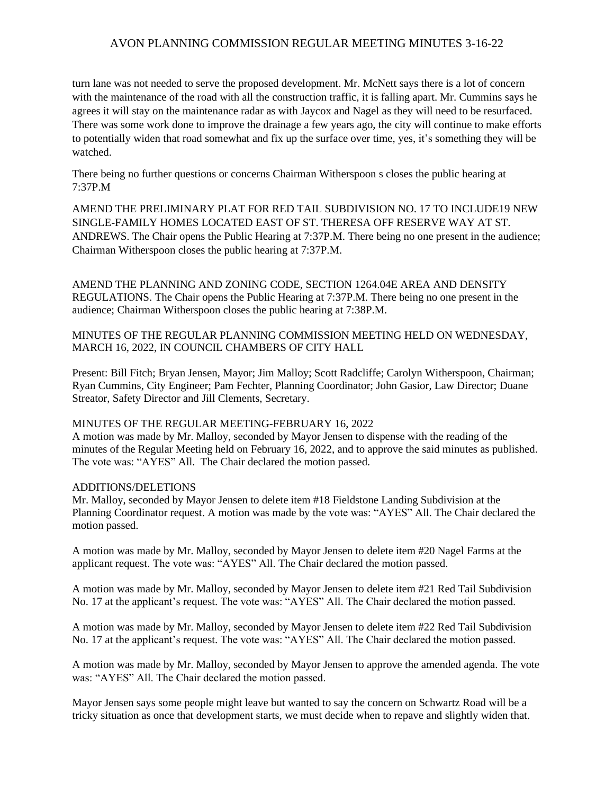turn lane was not needed to serve the proposed development. Mr. McNett says there is a lot of concern with the maintenance of the road with all the construction traffic, it is falling apart. Mr. Cummins says he agrees it will stay on the maintenance radar as with Jaycox and Nagel as they will need to be resurfaced. There was some work done to improve the drainage a few years ago, the city will continue to make efforts to potentially widen that road somewhat and fix up the surface over time, yes, it's something they will be watched.

There being no further questions or concerns Chairman Witherspoon s closes the public hearing at 7:37P.M

AMEND THE PRELIMINARY PLAT FOR RED TAIL SUBDIVISION NO. 17 TO INCLUDE19 NEW SINGLE-FAMILY HOMES LOCATED EAST OF ST. THERESA OFF RESERVE WAY AT ST. ANDREWS. The Chair opens the Public Hearing at 7:37P.M. There being no one present in the audience; Chairman Witherspoon closes the public hearing at 7:37P.M.

AMEND THE PLANNING AND ZONING CODE, SECTION 1264.04E AREA AND DENSITY REGULATIONS. The Chair opens the Public Hearing at 7:37P.M. There being no one present in the audience; Chairman Witherspoon closes the public hearing at 7:38P.M.

MINUTES OF THE REGULAR PLANNING COMMISSION MEETING HELD ON WEDNESDAY, MARCH 16, 2022, IN COUNCIL CHAMBERS OF CITY HALL

Present: Bill Fitch; Bryan Jensen, Mayor; Jim Malloy; Scott Radcliffe; Carolyn Witherspoon, Chairman; Ryan Cummins, City Engineer; Pam Fechter, Planning Coordinator; John Gasior, Law Director; Duane Streator, Safety Director and Jill Clements, Secretary.

## MINUTES OF THE REGULAR MEETING-FEBRUARY 16, 2022

A motion was made by Mr. Malloy, seconded by Mayor Jensen to dispense with the reading of the minutes of the Regular Meeting held on February 16, 2022, and to approve the said minutes as published. The vote was: "AYES" All. The Chair declared the motion passed.

#### ADDITIONS/DELETIONS

Mr. Malloy, seconded by Mayor Jensen to delete item #18 Fieldstone Landing Subdivision at the Planning Coordinator request. A motion was made by the vote was: "AYES" All. The Chair declared the motion passed.

A motion was made by Mr. Malloy, seconded by Mayor Jensen to delete item #20 Nagel Farms at the applicant request. The vote was: "AYES" All. The Chair declared the motion passed.

A motion was made by Mr. Malloy, seconded by Mayor Jensen to delete item #21 Red Tail Subdivision No. 17 at the applicant's request. The vote was: "AYES" All. The Chair declared the motion passed.

A motion was made by Mr. Malloy, seconded by Mayor Jensen to delete item #22 Red Tail Subdivision No. 17 at the applicant's request. The vote was: "AYES" All. The Chair declared the motion passed.

A motion was made by Mr. Malloy, seconded by Mayor Jensen to approve the amended agenda. The vote was: "AYES" All. The Chair declared the motion passed.

Mayor Jensen says some people might leave but wanted to say the concern on Schwartz Road will be a tricky situation as once that development starts, we must decide when to repave and slightly widen that.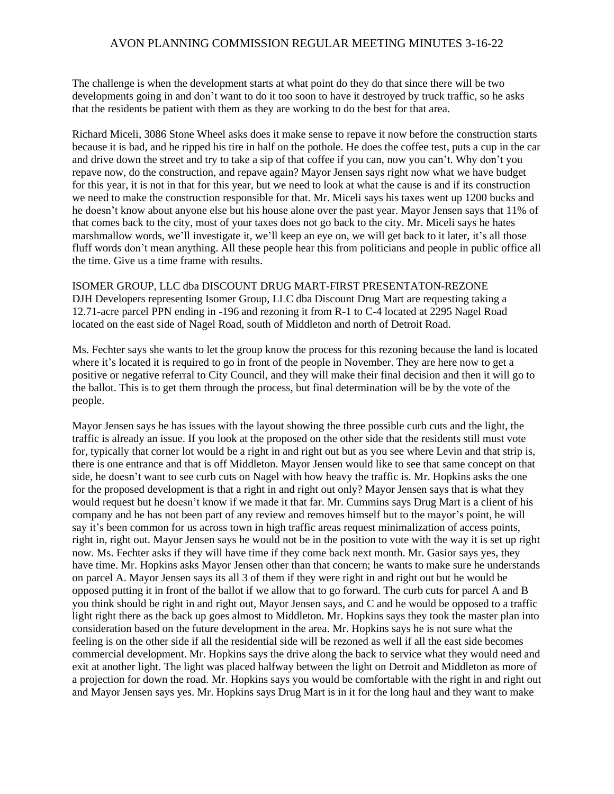The challenge is when the development starts at what point do they do that since there will be two developments going in and don't want to do it too soon to have it destroyed by truck traffic, so he asks that the residents be patient with them as they are working to do the best for that area.

Richard Miceli, 3086 Stone Wheel asks does it make sense to repave it now before the construction starts because it is bad, and he ripped his tire in half on the pothole. He does the coffee test, puts a cup in the car and drive down the street and try to take a sip of that coffee if you can, now you can't. Why don't you repave now, do the construction, and repave again? Mayor Jensen says right now what we have budget for this year, it is not in that for this year, but we need to look at what the cause is and if its construction we need to make the construction responsible for that. Mr. Miceli says his taxes went up 1200 bucks and he doesn't know about anyone else but his house alone over the past year. Mayor Jensen says that 11% of that comes back to the city, most of your taxes does not go back to the city. Mr. Miceli says he hates marshmallow words, we'll investigate it, we'll keep an eye on, we will get back to it later, it's all those fluff words don't mean anything. All these people hear this from politicians and people in public office all the time. Give us a time frame with results.

ISOMER GROUP, LLC dba DISCOUNT DRUG MART-FIRST PRESENTATON-REZONE DJH Developers representing Isomer Group, LLC dba Discount Drug Mart are requesting taking a 12.71-acre parcel PPN ending in -196 and rezoning it from R-1 to C-4 located at 2295 Nagel Road located on the east side of Nagel Road, south of Middleton and north of Detroit Road.

Ms. Fechter says she wants to let the group know the process for this rezoning because the land is located where it's located it is required to go in front of the people in November. They are here now to get a positive or negative referral to City Council, and they will make their final decision and then it will go to the ballot. This is to get them through the process, but final determination will be by the vote of the people.

Mayor Jensen says he has issues with the layout showing the three possible curb cuts and the light, the traffic is already an issue. If you look at the proposed on the other side that the residents still must vote for, typically that corner lot would be a right in and right out but as you see where Levin and that strip is, there is one entrance and that is off Middleton. Mayor Jensen would like to see that same concept on that side, he doesn't want to see curb cuts on Nagel with how heavy the traffic is. Mr. Hopkins asks the one for the proposed development is that a right in and right out only? Mayor Jensen says that is what they would request but he doesn't know if we made it that far. Mr. Cummins says Drug Mart is a client of his company and he has not been part of any review and removes himself but to the mayor's point, he will say it's been common for us across town in high traffic areas request minimalization of access points, right in, right out. Mayor Jensen says he would not be in the position to vote with the way it is set up right now. Ms. Fechter asks if they will have time if they come back next month. Mr. Gasior says yes, they have time. Mr. Hopkins asks Mayor Jensen other than that concern; he wants to make sure he understands on parcel A. Mayor Jensen says its all 3 of them if they were right in and right out but he would be opposed putting it in front of the ballot if we allow that to go forward. The curb cuts for parcel A and B you think should be right in and right out, Mayor Jensen says, and C and he would be opposed to a traffic light right there as the back up goes almost to Middleton. Mr. Hopkins says they took the master plan into consideration based on the future development in the area. Mr. Hopkins says he is not sure what the feeling is on the other side if all the residential side will be rezoned as well if all the east side becomes commercial development. Mr. Hopkins says the drive along the back to service what they would need and exit at another light. The light was placed halfway between the light on Detroit and Middleton as more of a projection for down the road. Mr. Hopkins says you would be comfortable with the right in and right out and Mayor Jensen says yes. Mr. Hopkins says Drug Mart is in it for the long haul and they want to make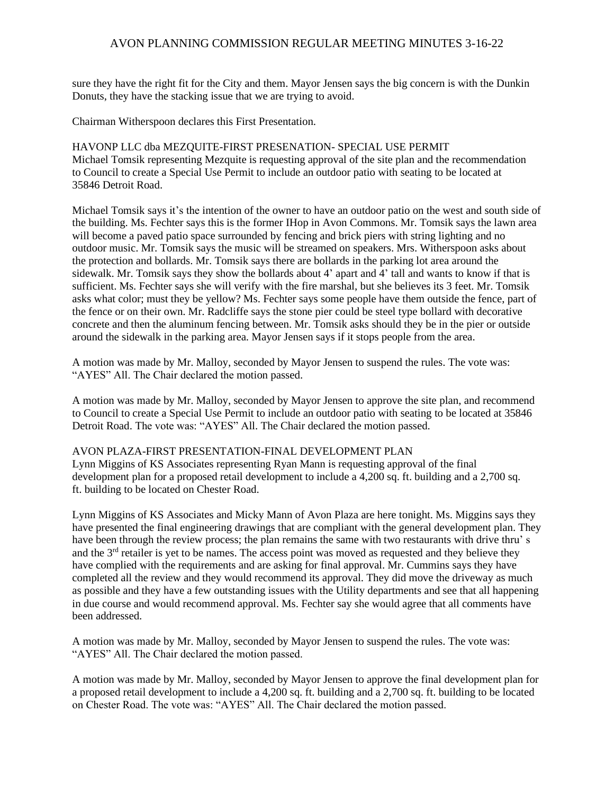sure they have the right fit for the City and them. Mayor Jensen says the big concern is with the Dunkin Donuts, they have the stacking issue that we are trying to avoid.

Chairman Witherspoon declares this First Presentation.

HAVONP LLC dba MEZQUITE-FIRST PRESENATION- SPECIAL USE PERMIT Michael Tomsik representing Mezquite is requesting approval of the site plan and the recommendation to Council to create a Special Use Permit to include an outdoor patio with seating to be located at 35846 Detroit Road.

Michael Tomsik says it's the intention of the owner to have an outdoor patio on the west and south side of the building. Ms. Fechter says this is the former IHop in Avon Commons. Mr. Tomsik says the lawn area will become a paved patio space surrounded by fencing and brick piers with string lighting and no outdoor music. Mr. Tomsik says the music will be streamed on speakers. Mrs. Witherspoon asks about the protection and bollards. Mr. Tomsik says there are bollards in the parking lot area around the sidewalk. Mr. Tomsik says they show the bollards about 4' apart and 4' tall and wants to know if that is sufficient. Ms. Fechter says she will verify with the fire marshal, but she believes its 3 feet. Mr. Tomsik asks what color; must they be yellow? Ms. Fechter says some people have them outside the fence, part of the fence or on their own. Mr. Radcliffe says the stone pier could be steel type bollard with decorative concrete and then the aluminum fencing between. Mr. Tomsik asks should they be in the pier or outside around the sidewalk in the parking area. Mayor Jensen says if it stops people from the area.

A motion was made by Mr. Malloy, seconded by Mayor Jensen to suspend the rules. The vote was: "AYES" All. The Chair declared the motion passed.

A motion was made by Mr. Malloy, seconded by Mayor Jensen to approve the site plan, and recommend to Council to create a Special Use Permit to include an outdoor patio with seating to be located at 35846 Detroit Road. The vote was: "AYES" All. The Chair declared the motion passed.

#### AVON PLAZA-FIRST PRESENTATION-FINAL DEVELOPMENT PLAN

Lynn Miggins of KS Associates representing Ryan Mann is requesting approval of the final development plan for a proposed retail development to include a 4,200 sq. ft. building and a 2,700 sq. ft. building to be located on Chester Road.

Lynn Miggins of KS Associates and Micky Mann of Avon Plaza are here tonight. Ms. Miggins says they have presented the final engineering drawings that are compliant with the general development plan. They have been through the review process; the plan remains the same with two restaurants with drive thru' s and the 3<sup>rd</sup> retailer is yet to be names. The access point was moved as requested and they believe they have complied with the requirements and are asking for final approval. Mr. Cummins says they have completed all the review and they would recommend its approval. They did move the driveway as much as possible and they have a few outstanding issues with the Utility departments and see that all happening in due course and would recommend approval. Ms. Fechter say she would agree that all comments have been addressed.

A motion was made by Mr. Malloy, seconded by Mayor Jensen to suspend the rules. The vote was: "AYES" All. The Chair declared the motion passed.

A motion was made by Mr. Malloy, seconded by Mayor Jensen to approve the final development plan for a proposed retail development to include a 4,200 sq. ft. building and a 2,700 sq. ft. building to be located on Chester Road. The vote was: "AYES" All. The Chair declared the motion passed.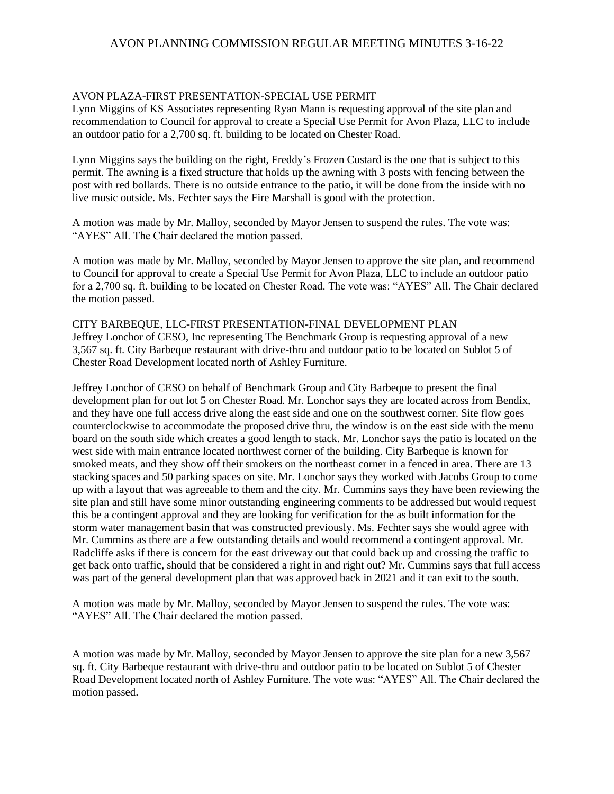## AVON PLAZA-FIRST PRESENTATION-SPECIAL USE PERMIT

Lynn Miggins of KS Associates representing Ryan Mann is requesting approval of the site plan and recommendation to Council for approval to create a Special Use Permit for Avon Plaza, LLC to include an outdoor patio for a 2,700 sq. ft. building to be located on Chester Road.

Lynn Miggins says the building on the right, Freddy's Frozen Custard is the one that is subject to this permit. The awning is a fixed structure that holds up the awning with 3 posts with fencing between the post with red bollards. There is no outside entrance to the patio, it will be done from the inside with no live music outside. Ms. Fechter says the Fire Marshall is good with the protection.

A motion was made by Mr. Malloy, seconded by Mayor Jensen to suspend the rules. The vote was: "AYES" All. The Chair declared the motion passed.

A motion was made by Mr. Malloy, seconded by Mayor Jensen to approve the site plan, and recommend to Council for approval to create a Special Use Permit for Avon Plaza, LLC to include an outdoor patio for a 2,700 sq. ft. building to be located on Chester Road. The vote was: "AYES" All. The Chair declared the motion passed.

CITY BARBEQUE, LLC-FIRST PRESENTATION-FINAL DEVELOPMENT PLAN Jeffrey Lonchor of CESO, Inc representing The Benchmark Group is requesting approval of a new 3,567 sq. ft. City Barbeque restaurant with drive-thru and outdoor patio to be located on Sublot 5 of Chester Road Development located north of Ashley Furniture.

Jeffrey Lonchor of CESO on behalf of Benchmark Group and City Barbeque to present the final development plan for out lot 5 on Chester Road. Mr. Lonchor says they are located across from Bendix, and they have one full access drive along the east side and one on the southwest corner. Site flow goes counterclockwise to accommodate the proposed drive thru, the window is on the east side with the menu board on the south side which creates a good length to stack. Mr. Lonchor says the patio is located on the west side with main entrance located northwest corner of the building. City Barbeque is known for smoked meats, and they show off their smokers on the northeast corner in a fenced in area. There are 13 stacking spaces and 50 parking spaces on site. Mr. Lonchor says they worked with Jacobs Group to come up with a layout that was agreeable to them and the city. Mr. Cummins says they have been reviewing the site plan and still have some minor outstanding engineering comments to be addressed but would request this be a contingent approval and they are looking for verification for the as built information for the storm water management basin that was constructed previously. Ms. Fechter says she would agree with Mr. Cummins as there are a few outstanding details and would recommend a contingent approval. Mr. Radcliffe asks if there is concern for the east driveway out that could back up and crossing the traffic to get back onto traffic, should that be considered a right in and right out? Mr. Cummins says that full access was part of the general development plan that was approved back in 2021 and it can exit to the south.

A motion was made by Mr. Malloy, seconded by Mayor Jensen to suspend the rules. The vote was: "AYES" All. The Chair declared the motion passed.

A motion was made by Mr. Malloy, seconded by Mayor Jensen to approve the site plan for a new 3,567 sq. ft. City Barbeque restaurant with drive-thru and outdoor patio to be located on Sublot 5 of Chester Road Development located north of Ashley Furniture. The vote was: "AYES" All. The Chair declared the motion passed.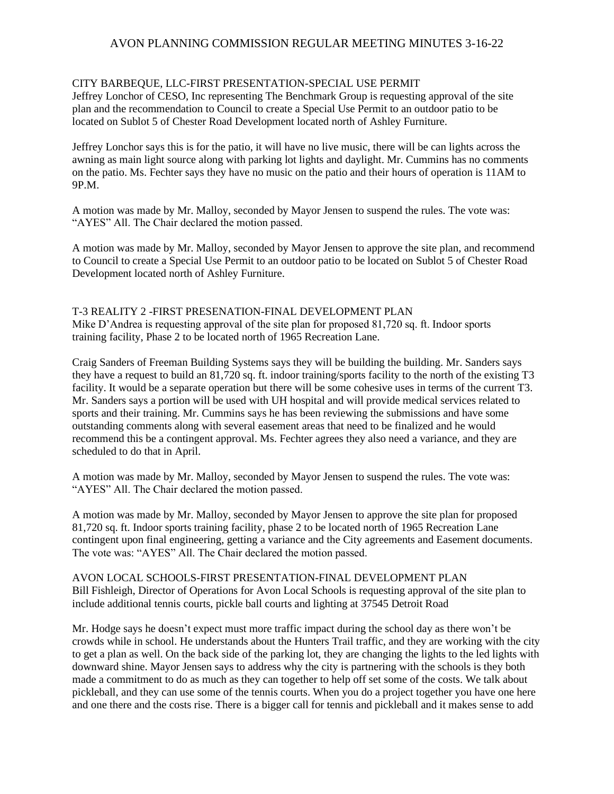## CITY BARBEQUE, LLC-FIRST PRESENTATION-SPECIAL USE PERMIT

Jeffrey Lonchor of CESO, Inc representing The Benchmark Group is requesting approval of the site plan and the recommendation to Council to create a Special Use Permit to an outdoor patio to be located on Sublot 5 of Chester Road Development located north of Ashley Furniture.

Jeffrey Lonchor says this is for the patio, it will have no live music, there will be can lights across the awning as main light source along with parking lot lights and daylight. Mr. Cummins has no comments on the patio. Ms. Fechter says they have no music on the patio and their hours of operation is 11AM to 9P.M.

A motion was made by Mr. Malloy, seconded by Mayor Jensen to suspend the rules. The vote was: "AYES" All. The Chair declared the motion passed.

A motion was made by Mr. Malloy, seconded by Mayor Jensen to approve the site plan, and recommend to Council to create a Special Use Permit to an outdoor patio to be located on Sublot 5 of Chester Road Development located north of Ashley Furniture.

# T-3 REALITY 2 -FIRST PRESENATION-FINAL DEVELOPMENT PLAN

Mike D'Andrea is requesting approval of the site plan for proposed 81,720 sq. ft. Indoor sports training facility, Phase 2 to be located north of 1965 Recreation Lane.

Craig Sanders of Freeman Building Systems says they will be building the building. Mr. Sanders says they have a request to build an 81,720 sq. ft. indoor training/sports facility to the north of the existing T3 facility. It would be a separate operation but there will be some cohesive uses in terms of the current T3. Mr. Sanders says a portion will be used with UH hospital and will provide medical services related to sports and their training. Mr. Cummins says he has been reviewing the submissions and have some outstanding comments along with several easement areas that need to be finalized and he would recommend this be a contingent approval. Ms. Fechter agrees they also need a variance, and they are scheduled to do that in April.

A motion was made by Mr. Malloy, seconded by Mayor Jensen to suspend the rules. The vote was: "AYES" All. The Chair declared the motion passed.

A motion was made by Mr. Malloy, seconded by Mayor Jensen to approve the site plan for proposed 81,720 sq. ft. Indoor sports training facility, phase 2 to be located north of 1965 Recreation Lane contingent upon final engineering, getting a variance and the City agreements and Easement documents. The vote was: "AYES" All. The Chair declared the motion passed.

AVON LOCAL SCHOOLS-FIRST PRESENTATION-FINAL DEVELOPMENT PLAN Bill Fishleigh, Director of Operations for Avon Local Schools is requesting approval of the site plan to include additional tennis courts, pickle ball courts and lighting at 37545 Detroit Road

Mr. Hodge says he doesn't expect must more traffic impact during the school day as there won't be crowds while in school. He understands about the Hunters Trail traffic, and they are working with the city to get a plan as well. On the back side of the parking lot, they are changing the lights to the led lights with downward shine. Mayor Jensen says to address why the city is partnering with the schools is they both made a commitment to do as much as they can together to help off set some of the costs. We talk about pickleball, and they can use some of the tennis courts. When you do a project together you have one here and one there and the costs rise. There is a bigger call for tennis and pickleball and it makes sense to add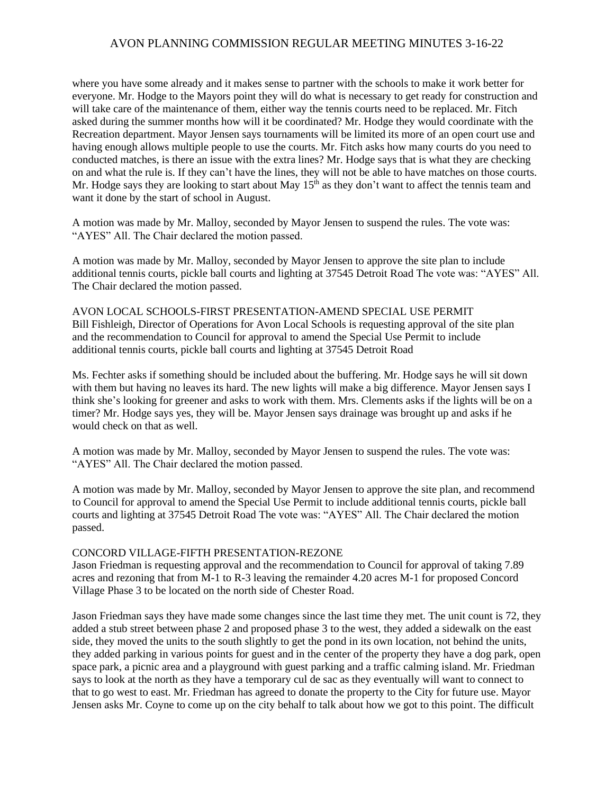where you have some already and it makes sense to partner with the schools to make it work better for everyone. Mr. Hodge to the Mayors point they will do what is necessary to get ready for construction and will take care of the maintenance of them, either way the tennis courts need to be replaced. Mr. Fitch asked during the summer months how will it be coordinated? Mr. Hodge they would coordinate with the Recreation department. Mayor Jensen says tournaments will be limited its more of an open court use and having enough allows multiple people to use the courts. Mr. Fitch asks how many courts do you need to conducted matches, is there an issue with the extra lines? Mr. Hodge says that is what they are checking on and what the rule is. If they can't have the lines, they will not be able to have matches on those courts. Mr. Hodge says they are looking to start about May  $15<sup>th</sup>$  as they don't want to affect the tennis team and want it done by the start of school in August.

A motion was made by Mr. Malloy, seconded by Mayor Jensen to suspend the rules. The vote was: "AYES" All. The Chair declared the motion passed.

A motion was made by Mr. Malloy, seconded by Mayor Jensen to approve the site plan to include additional tennis courts, pickle ball courts and lighting at 37545 Detroit Road The vote was: "AYES" All. The Chair declared the motion passed.

AVON LOCAL SCHOOLS-FIRST PRESENTATION-AMEND SPECIAL USE PERMIT Bill Fishleigh, Director of Operations for Avon Local Schools is requesting approval of the site plan and the recommendation to Council for approval to amend the Special Use Permit to include additional tennis courts, pickle ball courts and lighting at 37545 Detroit Road

Ms. Fechter asks if something should be included about the buffering. Mr. Hodge says he will sit down with them but having no leaves its hard. The new lights will make a big difference. Mayor Jensen says I think she's looking for greener and asks to work with them. Mrs. Clements asks if the lights will be on a timer? Mr. Hodge says yes, they will be. Mayor Jensen says drainage was brought up and asks if he would check on that as well.

A motion was made by Mr. Malloy, seconded by Mayor Jensen to suspend the rules. The vote was: "AYES" All. The Chair declared the motion passed.

A motion was made by Mr. Malloy, seconded by Mayor Jensen to approve the site plan, and recommend to Council for approval to amend the Special Use Permit to include additional tennis courts, pickle ball courts and lighting at 37545 Detroit Road The vote was: "AYES" All. The Chair declared the motion passed.

#### CONCORD VILLAGE-FIFTH PRESENTATION-REZONE

Jason Friedman is requesting approval and the recommendation to Council for approval of taking 7.89 acres and rezoning that from M-1 to R-3 leaving the remainder 4.20 acres M-1 for proposed Concord Village Phase 3 to be located on the north side of Chester Road.

Jason Friedman says they have made some changes since the last time they met. The unit count is 72, they added a stub street between phase 2 and proposed phase 3 to the west, they added a sidewalk on the east side, they moved the units to the south slightly to get the pond in its own location, not behind the units, they added parking in various points for guest and in the center of the property they have a dog park, open space park, a picnic area and a playground with guest parking and a traffic calming island. Mr. Friedman says to look at the north as they have a temporary cul de sac as they eventually will want to connect to that to go west to east. Mr. Friedman has agreed to donate the property to the City for future use. Mayor Jensen asks Mr. Coyne to come up on the city behalf to talk about how we got to this point. The difficult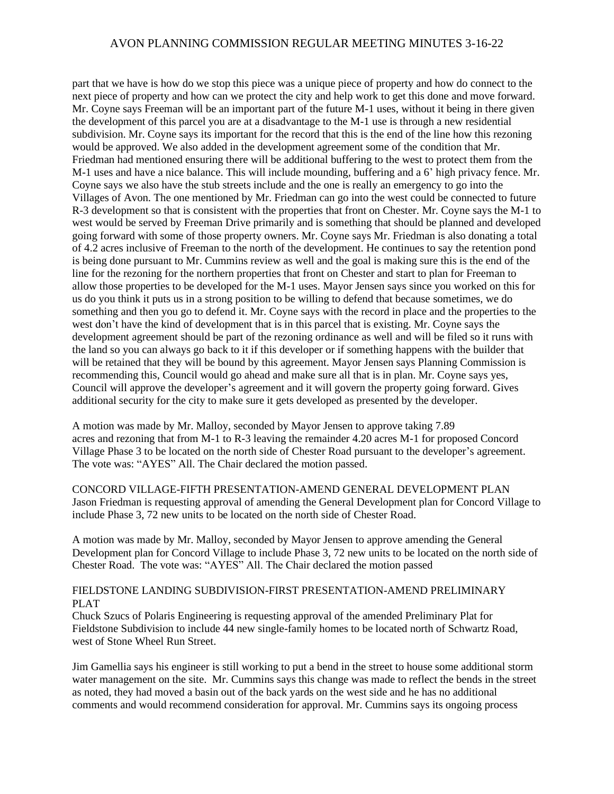part that we have is how do we stop this piece was a unique piece of property and how do connect to the next piece of property and how can we protect the city and help work to get this done and move forward. Mr. Coyne says Freeman will be an important part of the future M-1 uses, without it being in there given the development of this parcel you are at a disadvantage to the M-1 use is through a new residential subdivision. Mr. Coyne says its important for the record that this is the end of the line how this rezoning would be approved. We also added in the development agreement some of the condition that Mr. Friedman had mentioned ensuring there will be additional buffering to the west to protect them from the M-1 uses and have a nice balance. This will include mounding, buffering and a 6' high privacy fence. Mr. Coyne says we also have the stub streets include and the one is really an emergency to go into the Villages of Avon. The one mentioned by Mr. Friedman can go into the west could be connected to future R-3 development so that is consistent with the properties that front on Chester. Mr. Coyne says the M-1 to west would be served by Freeman Drive primarily and is something that should be planned and developed going forward with some of those property owners. Mr. Coyne says Mr. Friedman is also donating a total of 4.2 acres inclusive of Freeman to the north of the development. He continues to say the retention pond is being done pursuant to Mr. Cummins review as well and the goal is making sure this is the end of the line for the rezoning for the northern properties that front on Chester and start to plan for Freeman to allow those properties to be developed for the M-1 uses. Mayor Jensen says since you worked on this for us do you think it puts us in a strong position to be willing to defend that because sometimes, we do something and then you go to defend it. Mr. Coyne says with the record in place and the properties to the west don't have the kind of development that is in this parcel that is existing. Mr. Coyne says the development agreement should be part of the rezoning ordinance as well and will be filed so it runs with the land so you can always go back to it if this developer or if something happens with the builder that will be retained that they will be bound by this agreement. Mayor Jensen says Planning Commission is recommending this, Council would go ahead and make sure all that is in plan. Mr. Coyne says yes, Council will approve the developer's agreement and it will govern the property going forward. Gives additional security for the city to make sure it gets developed as presented by the developer.

A motion was made by Mr. Malloy, seconded by Mayor Jensen to approve taking 7.89 acres and rezoning that from M-1 to R-3 leaving the remainder 4.20 acres M-1 for proposed Concord Village Phase 3 to be located on the north side of Chester Road pursuant to the developer's agreement. The vote was: "AYES" All. The Chair declared the motion passed.

CONCORD VILLAGE-FIFTH PRESENTATION-AMEND GENERAL DEVELOPMENT PLAN Jason Friedman is requesting approval of amending the General Development plan for Concord Village to include Phase 3, 72 new units to be located on the north side of Chester Road.

A motion was made by Mr. Malloy, seconded by Mayor Jensen to approve amending the General Development plan for Concord Village to include Phase 3, 72 new units to be located on the north side of Chester Road. The vote was: "AYES" All. The Chair declared the motion passed

## FIELDSTONE LANDING SUBDIVISION-FIRST PRESENTATION-AMEND PRELIMINARY PLAT

Chuck Szucs of Polaris Engineering is requesting approval of the amended Preliminary Plat for Fieldstone Subdivision to include 44 new single-family homes to be located north of Schwartz Road, west of Stone Wheel Run Street.

Jim Gamellia says his engineer is still working to put a bend in the street to house some additional storm water management on the site. Mr. Cummins says this change was made to reflect the bends in the street as noted, they had moved a basin out of the back yards on the west side and he has no additional comments and would recommend consideration for approval. Mr. Cummins says its ongoing process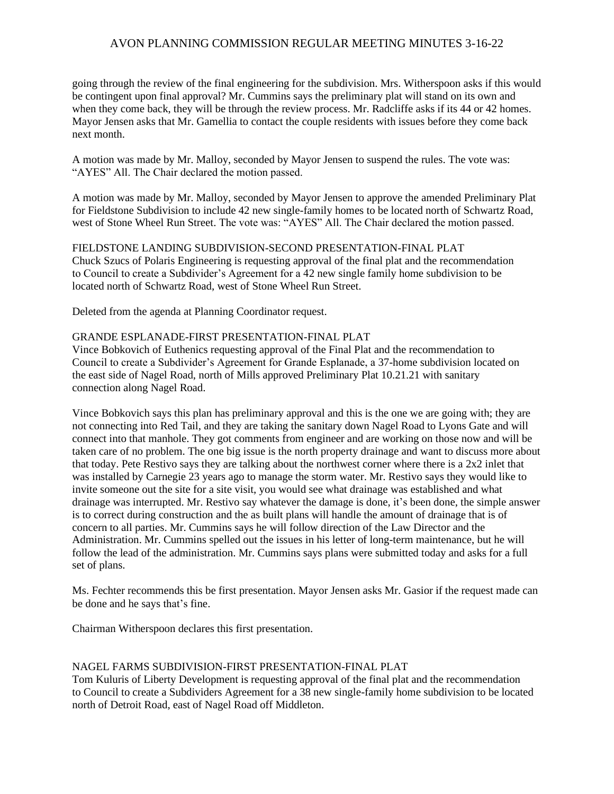going through the review of the final engineering for the subdivision. Mrs. Witherspoon asks if this would be contingent upon final approval? Mr. Cummins says the preliminary plat will stand on its own and when they come back, they will be through the review process. Mr. Radcliffe asks if its 44 or 42 homes. Mayor Jensen asks that Mr. Gamellia to contact the couple residents with issues before they come back next month.

A motion was made by Mr. Malloy, seconded by Mayor Jensen to suspend the rules. The vote was: "AYES" All. The Chair declared the motion passed.

A motion was made by Mr. Malloy, seconded by Mayor Jensen to approve the amended Preliminary Plat for Fieldstone Subdivision to include 42 new single-family homes to be located north of Schwartz Road, west of Stone Wheel Run Street. The vote was: "AYES" All. The Chair declared the motion passed.

FIELDSTONE LANDING SUBDIVISION-SECOND PRESENTATION-FINAL PLAT Chuck Szucs of Polaris Engineering is requesting approval of the final plat and the recommendation to Council to create a Subdivider's Agreement for a 42 new single family home subdivision to be located north of Schwartz Road, west of Stone Wheel Run Street.

Deleted from the agenda at Planning Coordinator request.

#### GRANDE ESPLANADE-FIRST PRESENTATION-FINAL PLAT

Vince Bobkovich of Euthenics requesting approval of the Final Plat and the recommendation to Council to create a Subdivider's Agreement for Grande Esplanade, a 37-home subdivision located on the east side of Nagel Road, north of Mills approved Preliminary Plat 10.21.21 with sanitary connection along Nagel Road.

Vince Bobkovich says this plan has preliminary approval and this is the one we are going with; they are not connecting into Red Tail, and they are taking the sanitary down Nagel Road to Lyons Gate and will connect into that manhole. They got comments from engineer and are working on those now and will be taken care of no problem. The one big issue is the north property drainage and want to discuss more about that today. Pete Restivo says they are talking about the northwest corner where there is a 2x2 inlet that was installed by Carnegie 23 years ago to manage the storm water. Mr. Restivo says they would like to invite someone out the site for a site visit, you would see what drainage was established and what drainage was interrupted. Mr. Restivo say whatever the damage is done, it's been done, the simple answer is to correct during construction and the as built plans will handle the amount of drainage that is of concern to all parties. Mr. Cummins says he will follow direction of the Law Director and the Administration. Mr. Cummins spelled out the issues in his letter of long-term maintenance, but he will follow the lead of the administration. Mr. Cummins says plans were submitted today and asks for a full set of plans.

Ms. Fechter recommends this be first presentation. Mayor Jensen asks Mr. Gasior if the request made can be done and he says that's fine.

Chairman Witherspoon declares this first presentation.

#### NAGEL FARMS SUBDIVISION-FIRST PRESENTATION-FINAL PLAT

Tom Kuluris of Liberty Development is requesting approval of the final plat and the recommendation to Council to create a Subdividers Agreement for a 38 new single-family home subdivision to be located north of Detroit Road, east of Nagel Road off Middleton.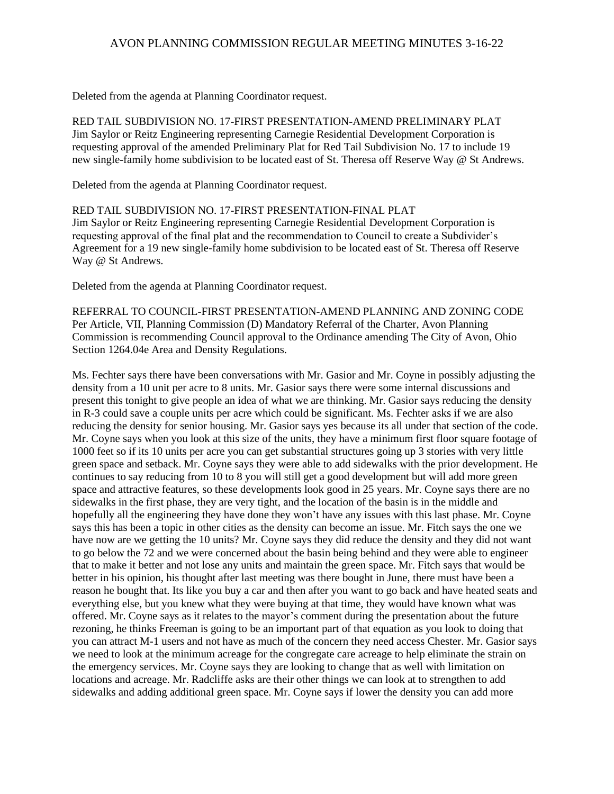Deleted from the agenda at Planning Coordinator request.

RED TAIL SUBDIVISION NO. 17-FIRST PRESENTATION-AMEND PRELIMINARY PLAT Jim Saylor or Reitz Engineering representing Carnegie Residential Development Corporation is requesting approval of the amended Preliminary Plat for Red Tail Subdivision No. 17 to include 19 new single-family home subdivision to be located east of St. Theresa off Reserve Way @ St Andrews.

Deleted from the agenda at Planning Coordinator request.

RED TAIL SUBDIVISION NO. 17-FIRST PRESENTATION-FINAL PLAT Jim Saylor or Reitz Engineering representing Carnegie Residential Development Corporation is requesting approval of the final plat and the recommendation to Council to create a Subdivider's Agreement for a 19 new single-family home subdivision to be located east of St. Theresa off Reserve Way @ St Andrews.

Deleted from the agenda at Planning Coordinator request.

REFERRAL TO COUNCIL-FIRST PRESENTATION-AMEND PLANNING AND ZONING CODE Per Article, VII, Planning Commission (D) Mandatory Referral of the Charter, Avon Planning Commission is recommending Council approval to the Ordinance amending The City of Avon, Ohio Section 1264.04e Area and Density Regulations.

Ms. Fechter says there have been conversations with Mr. Gasior and Mr. Coyne in possibly adjusting the density from a 10 unit per acre to 8 units. Mr. Gasior says there were some internal discussions and present this tonight to give people an idea of what we are thinking. Mr. Gasior says reducing the density in R-3 could save a couple units per acre which could be significant. Ms. Fechter asks if we are also reducing the density for senior housing. Mr. Gasior says yes because its all under that section of the code. Mr. Coyne says when you look at this size of the units, they have a minimum first floor square footage of 1000 feet so if its 10 units per acre you can get substantial structures going up 3 stories with very little green space and setback. Mr. Coyne says they were able to add sidewalks with the prior development. He continues to say reducing from 10 to 8 you will still get a good development but will add more green space and attractive features, so these developments look good in 25 years. Mr. Coyne says there are no sidewalks in the first phase, they are very tight, and the location of the basin is in the middle and hopefully all the engineering they have done they won't have any issues with this last phase. Mr. Coyne says this has been a topic in other cities as the density can become an issue. Mr. Fitch says the one we have now are we getting the 10 units? Mr. Coyne says they did reduce the density and they did not want to go below the 72 and we were concerned about the basin being behind and they were able to engineer that to make it better and not lose any units and maintain the green space. Mr. Fitch says that would be better in his opinion, his thought after last meeting was there bought in June, there must have been a reason he bought that. Its like you buy a car and then after you want to go back and have heated seats and everything else, but you knew what they were buying at that time, they would have known what was offered. Mr. Coyne says as it relates to the mayor's comment during the presentation about the future rezoning, he thinks Freeman is going to be an important part of that equation as you look to doing that you can attract M-1 users and not have as much of the concern they need access Chester. Mr. Gasior says we need to look at the minimum acreage for the congregate care acreage to help eliminate the strain on the emergency services. Mr. Coyne says they are looking to change that as well with limitation on locations and acreage. Mr. Radcliffe asks are their other things we can look at to strengthen to add sidewalks and adding additional green space. Mr. Coyne says if lower the density you can add more